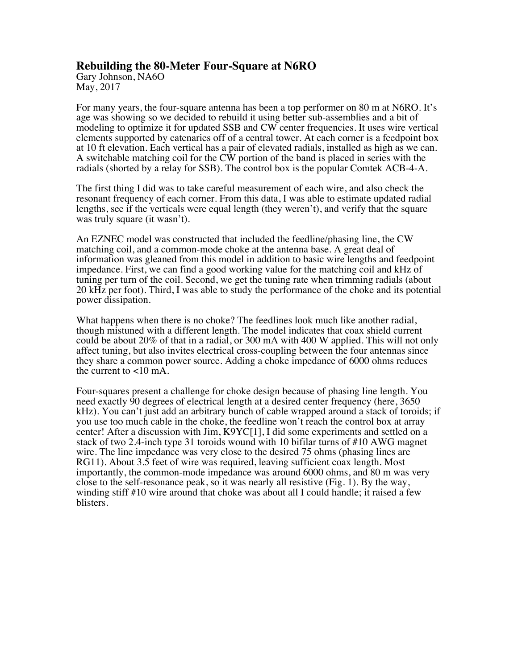## **Rebuilding the 80-Meter Four-Square at N6RO**

Gary Johnson, NA6O May, 2017

For many years, the four-square antenna has been a top performer on 80 m at N6RO. It's age was showing so we decided to rebuild it using better sub-assemblies and a bit of modeling to optimize it for updated SSB and CW center frequencies. It uses wire vertical elements supported by catenaries off of a central tower. At each corner is a feedpoint box at 10 ft elevation. Each vertical has a pair of elevated radials, installed as high as we can. A switchable matching coil for the CW portion of the band is placed in series with the radials (shorted by a relay for SSB). The control box is the popular Comtek ACB-4-A.

The first thing I did was to take careful measurement of each wire, and also check the resonant frequency of each corner. From this data, I was able to estimate updated radial lengths, see if the verticals were equal length (they weren't), and verify that the square was truly square (it wasn't).

An EZNEC model was constructed that included the feedline/phasing line, the CW matching coil, and a common-mode choke at the antenna base. A great deal of information was gleaned from this model in addition to basic wire lengths and feedpoint impedance. First, we can find a good working value for the matching coil and kHz of tuning per turn of the coil. Second, we get the tuning rate when trimming radials (about 20 kHz per foot). Third, I was able to study the performance of the choke and its potential power dissipation.

What happens when there is no choke? The feedlines look much like another radial, though mistuned with a different length. The model indicates that coax shield current could be about 20% of that in a radial, or 300 mA with 400 W applied. This will not only affect tuning, but also invites electrical cross-coupling between the four antennas since they share a common power source. Adding a choke impedance of 6000 ohms reduces the current to <10 mA.

Four-squares present a challenge for choke design because of phasing line length. You need exactly 90 degrees of electrical length at a desired center frequency (here, 3650 kHz). You can't just add an arbitrary bunch of cable wrapped around a stack of toroids; if you use too much cable in the choke, the feedline won't reach the control box at array center! After a discussion with Jim, K9YC[1], I did some experiments and settled on a stack of two 2.4-inch type 31 toroids wound with 10 bifilar turns of #10 AWG magnet wire. The line impedance was very close to the desired 75 ohms (phasing lines are RG11). About 3.5 feet of wire was required, leaving sufficient coax length. Most importantly, the common-mode impedance was around 6000 ohms, and 80 m was very close to the self-resonance peak, so it was nearly all resistive (Fig. 1). By the way, winding stiff #10 wire around that choke was about all I could handle; it raised a few blisters.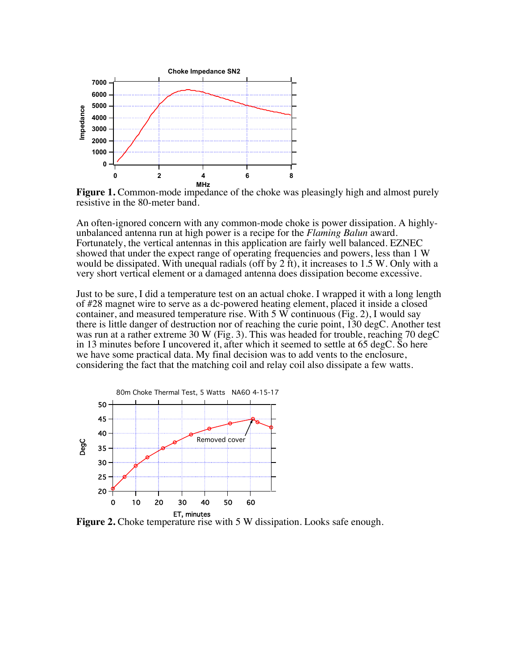

**Figure 1.** Common-mode impedance of the choke was pleasingly high and almost purely resistive in the 80-meter band.

An often-ignored concern with any common-mode choke is power dissipation. A highlyunbalanced antenna run at high power is a recipe for the *Flaming Balun* award. Fortunately, the vertical antennas in this application are fairly well balanced. EZNEC showed that under the expect range of operating frequencies and powers, less than 1 W would be dissipated. With unequal radials (off by 2 ft), it increases to 1.5 W. Only with a very short vertical element or a damaged antenna does dissipation become excessive.

Just to be sure, I did a temperature test on an actual choke. I wrapped it with a long length of #28 magnet wire to serve as a dc-powered heating element, placed it inside a closed container, and measured temperature rise. With 5 W continuous (Fig. 2), I would say there is little danger of destruction nor of reaching the curie point, 130 degC. Another test was run at a rather extreme 30 W (Fig. 3). This was headed for trouble, reaching 70 degC in 13 minutes before I uncovered it, after which it seemed to settle at 65 degC. So here we have some practical data. My final decision was to add vents to the enclosure, considering the fact that the matching coil and relay coil also dissipate a few watts.



**Figure 2.** Choke temperature rise with 5 W dissipation. Looks safe enough.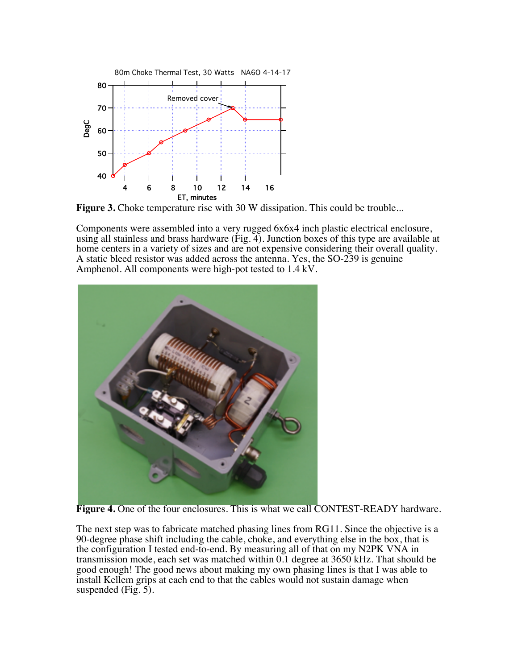

**Figure 3.** Choke temperature rise with 30 W dissipation. This could be trouble...

Components were assembled into a very rugged 6x6x4 inch plastic electrical enclosure, using all stainless and brass hardware (Fig. 4). Junction boxes of this type are available at home centers in a variety of sizes and are not expensive considering their overall quality. A static bleed resistor was added across the antenna. Yes, the SO-239 is genuine Amphenol. All components were high-pot tested to 1.4 kV.



**Figure 4.** One of the four enclosures. This is what we call CONTEST-READY hardware.

The next step was to fabricate matched phasing lines from RG11. Since the objective is a 90-degree phase shift including the cable, choke, and everything else in the box, that is the configuration I tested end-to-end. By measuring all of that on my N2PK VNA in transmission mode, each set was matched within 0.1 degree at 3650 kHz. That should be good enough! The good news about making my own phasing lines is that I was able to install Kellem grips at each end to that the cables would not sustain damage when suspended  $(Fig. 5)$ .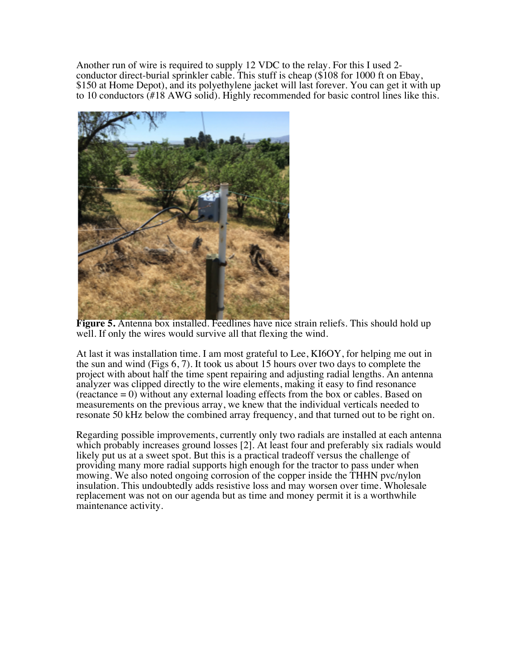Another run of wire is required to supply 12 VDC to the relay. For this I used 2 conductor direct-burial sprinkler cable. This stuff is cheap (\$108 for 1000 ft on Ebay, \$150 at Home Depot), and its polyethylene jacket will last forever. You can get it with up to 10 conductors (#18 AWG solid). Highly recommended for basic control lines like this.



**Figure 5.** Antenna box installed. Feedlines have nice strain reliefs. This should hold up well. If only the wires would survive all that flexing the wind.

At last it was installation time. I am most grateful to Lee, KI6OY, for helping me out in the sun and wind (Figs 6, 7). It took us about 15 hours over two days to complete the project with about half the time spent repairing and adjusting radial lengths. An antenna analyzer was clipped directly to the wire elements, making it easy to find resonance  $(reactance = 0)$  without any external loading effects from the box or cables. Based on measurements on the previous array, we knew that the individual verticals needed to resonate 50 kHz below the combined array frequency, and that turned out to be right on.

Regarding possible improvements, currently only two radials are installed at each antenna which probably increases ground losses [2]. At least four and preferably six radials would likely put us at a sweet spot. But this is a practical tradeoff versus the challenge of providing many more radial supports high enough for the tractor to pass under when mowing. We also noted ongoing corrosion of the copper inside the THHN pvc/nylon insulation. This undoubtedly adds resistive loss and may worsen over time. Wholesale replacement was not on our agenda but as time and money permit it is a worthwhile maintenance activity.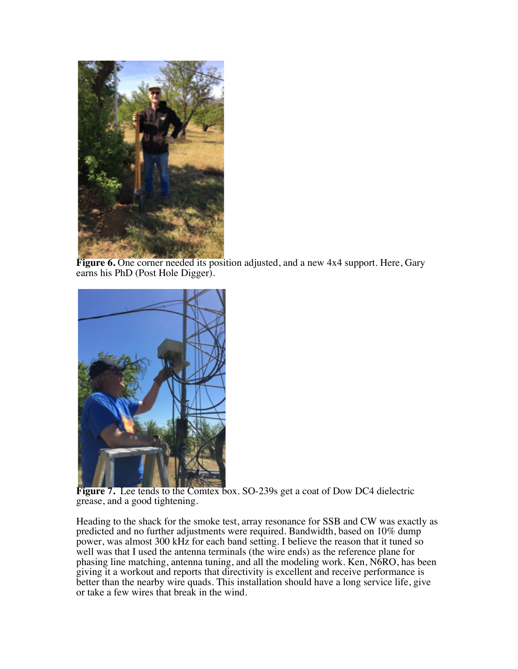

**Figure 6.** One corner needed its position adjusted, and a new 4x4 support. Here, Gary earns his PhD (Post Hole Digger).



**Figure 7.** Lee tends to the Comtex box. SO-239s get a coat of Dow DC4 dielectric grease, and a good tightening.

Heading to the shack for the smoke test, array resonance for SSB and CW was exactly as predicted and no further adjustments were required. Bandwidth, based on 10% dump power, was almost 300 kHz for each band setting. I believe the reason that it tuned so well was that I used the antenna terminals (the wire ends) as the reference plane for phasing line matching, antenna tuning, and all the modeling work. Ken, N6RO, has been giving it a workout and reports that directivity is excellent and receive performance is better than the nearby wire quads. This installation should have a long service life, give or take a few wires that break in the wind.